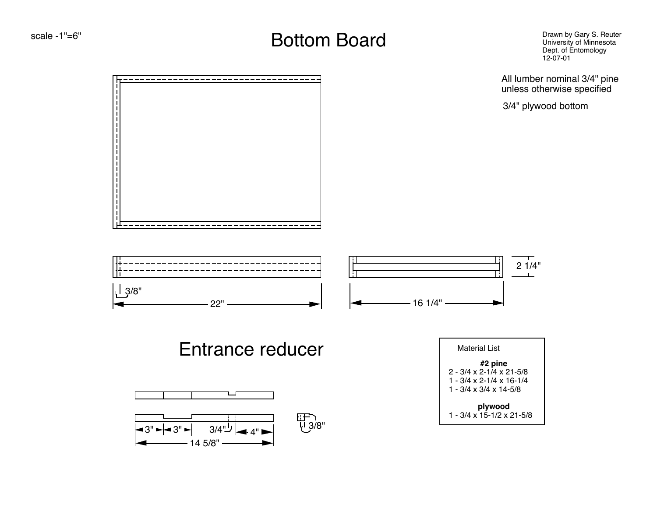#### $\mathsf{scatter}$   $\mathsf{Search}$   $\mathsf{B}{\mathsf{out}}$   $\mathsf{D}{\mathsf{out}}$   $\mathsf{B}{\mathsf{out}}$   $\mathsf{D}{\mathsf{out}}$   $\mathsf{D}{\mathsf{out}}$   $\mathsf{D}{\mathsf{out}}$   $\mathsf{D}{\mathsf{out}}$   $\mathsf{out}}$   $\mathsf{D}{\mathsf{out}}$   $\mathsf{out}}$   $\mathsf{D}{\mathsf{out}}$   $\mathsf{out}}$   $\mathsf{D}{\mathsf{out}}$   $\mathsf{out}}$   $\mathsf{out}}$   $\mathsf{out}}$

Drawn by Gary S. Reuter<br>University of Minnesota Dept. of Entomology 12-07-01

All lumber nominal 3/4" pine unless otherwise specified

3/4" plywood bottom





### Entrance reducer



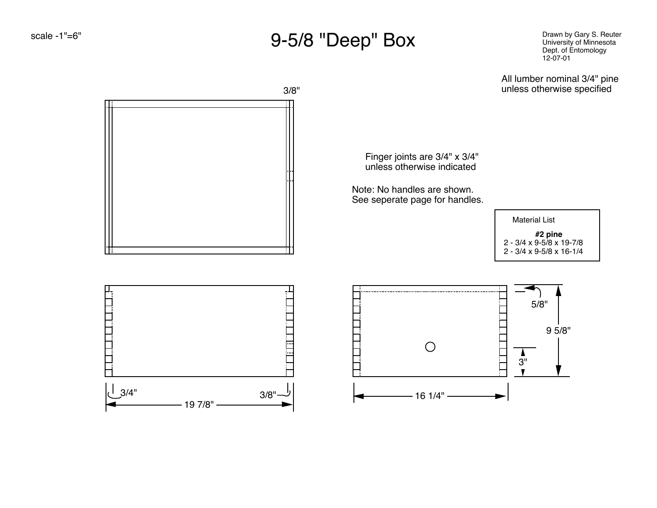### 9-5/8 "Deep" Box

Drawn by Gary S. Reuter University of Minnesota Dept. of Entomology 12-07-01

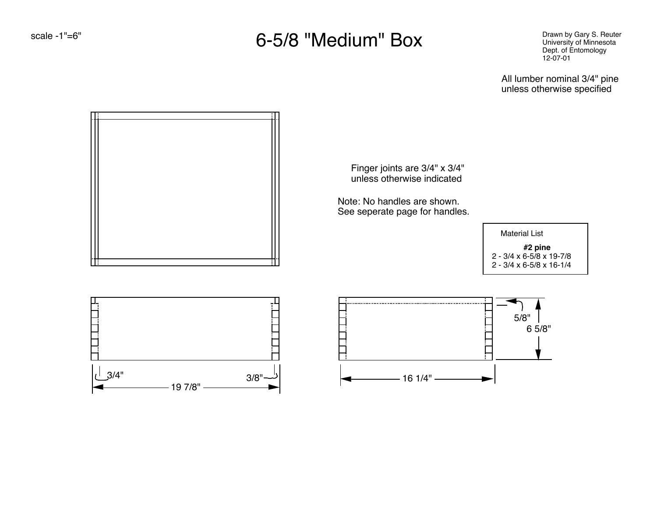### 6-5/8 "Medium" Box

Drawn by Gary S. Reuter University of Minnesota Dept. of Entomology 12-07-01

All lumber nominal 3/4" pine unless otherwise specified

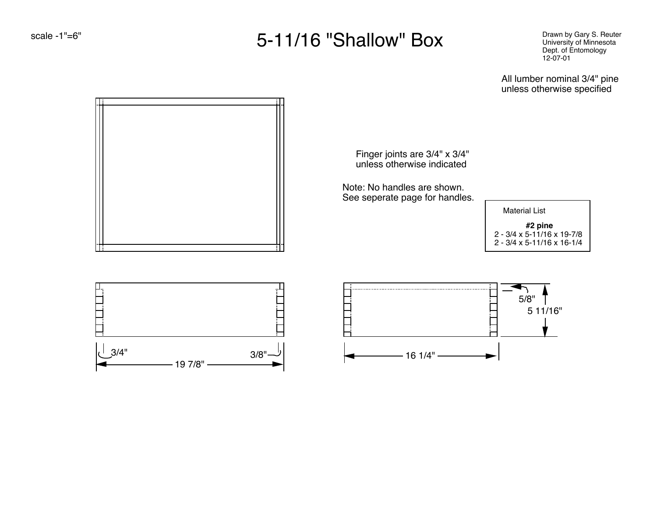## 5-11/16 "Shallow" Box

Drawn by Gary S. Reuter University of Minnesota Dept. of Entomology 12-07-01

All lumber nominal 3/4" pine unless otherwise specified